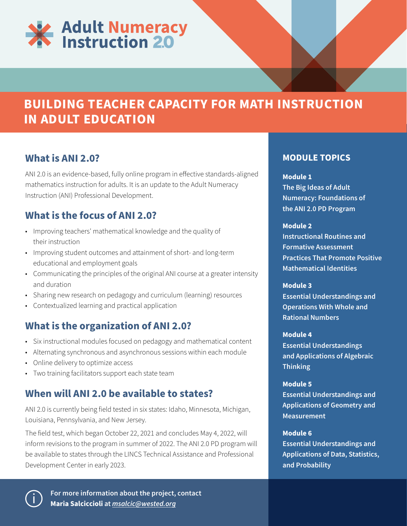

# **BUILDING TEACHER CAPACITY FOR MATH INSTRUCTION IN ADULT EDUCATION**

### **What is ANI 2.0?**

ANI 2.0 is an evidence-based, fully online program in effective standards-aligned mathematics instruction for adults. It is an update to the Adult Numeracy Instruction (ANI) Professional Development.

## **What is the focus of ANI 2.0?**

- Improving teachers' mathematical knowledge and the quality of their instruction
- Improving student outcomes and attainment of short- and long-term educational and employment goals
- Communicating the principles of the original ANI course at a greater intensity and duration
- Sharing new research on pedagogy and curriculum (learning) resources
- Contextualized learning and practical application

### **What is the organization of ANI 2.0?**

- Six instructional modules focused on pedagogy and mathematical content
- Alternating synchronous and asynchronous sessions within each module
- Online delivery to optimize access
- Two training facilitators support each state team

### **When will ANI 2.0 be available to states?**

ANI 2.0 is currently being field tested in six states: Idaho, Minnesota, Michigan, Louisiana, Pennsylvania, and New Jersey.

The field test, which began October 22, 2021 and concludes May 4, 2022, will inform revisions to the program in summer of 2022. The ANI 2.0 PD program will be available to states through the LINCS Technical Assistance and Professional Development Center in early 2023.

### **MODULE TOPICS**

#### **Module 1**

**The Big Ideas of Adult Numeracy: Foundations of the ANI 2.0 PD Program**

#### **Module 2**

**Instructional Routines and Formative Assessment Practices That Promote Positive Mathematical Identities**

#### **Module 3**

**Essential Understandings and Operations With Whole and Rational Numbers**

#### **Module 4**

**Essential Understandings and Applications of Algebraic Thinking**

#### **Module 5**

**Essential Understandings and Applications of Geometry and Measurement**

#### **Module 6**

**Essential Understandings and Applications of Data, Statistics, and Probability**



**For more information about the project, contact Maria Salciccioli at** *[msalcic@wested.org](mailto:msalcic@wested.org)*